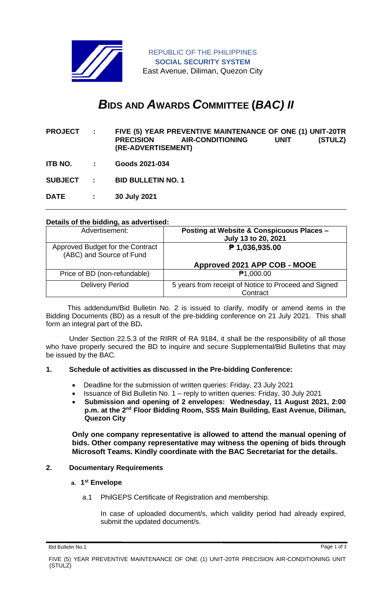

REPUBLIC OF THE PHILIPPINES **SOCIAL SECURITY SYSTEM** East Avenue, Diliman, Quezon City

# *B***IDS AND** *A***WARDS** *C***OMMITTEE (***BAC) II*

- **PROJECT : FIVE (5) YEAR PREVENTIVE MAINTENANCE OF ONE (1) UNIT-20TR PRECISION AIR-CONDITIONING UNIT (STULZ) (RE-ADVERTISEMENT)**
- **ITB NO. : Goods 2021-034**

**SUBJECT : BID BULLETIN NO. 1**

**DATE : 30 July 2021**

## **Details of the bidding, as advertised:**

| Advertisement:                                               | <b>Posting at Website &amp; Conspicuous Places -</b><br>July 13 to 20, 2021 |
|--------------------------------------------------------------|-----------------------------------------------------------------------------|
| Approved Budget for the Contract<br>(ABC) and Source of Fund | $P$ 1,036,935.00                                                            |
|                                                              | Approved 2021 APP COB - MOOE                                                |
| Price of BD (non-refundable)                                 | <b>₱1,000.00</b>                                                            |
| <b>Delivery Period</b>                                       | 5 years from receipt of Notice to Proceed and Signed<br>Contract            |

 This addendum/Bid Bulletin No. 2 is issued to clarify, modify or amend items in the Bidding Documents (BD) as a result of the pre-bidding conference on 21 July 2021. This shall form an integral part of the BD**.**

Under Section 22.5.3 of the RIRR of RA 9184, it shall be the responsibility of all those who have properly secured the BD to inquire and secure Supplemental/Bid Bulletins that may be issued by the BAC.

#### **1. Schedule of activities as discussed in the Pre-bidding Conference:**

- Deadline for the submission of written queries: Friday, 23 July 2021
- Issuance of Bid Bulletin No. 1 reply to written queries: Friday, 30 July 2021
- **Submission and opening of 2 envelopes: Wednesday, 11 August 2021, 2:00 p.m. at the 2nd Floor Bidding Room, SSS Main Building, East Avenue, Diliman, Quezon City**

**Only one company representative is allowed to attend the manual opening of bids. Other company representative may witness the opening of bids through Microsoft Teams. Kindly coordinate with the BAC Secretariat for the details.**

#### **2. Documentary Requirements**

#### **a. 1 st Envelope**

a.1 PhilGEPS Certificate of Registration and membership.

In case of uploaded document/s, which validity period had already expired, submit the updated document/s.

Bid Bulletin No.1 Page 1 of 3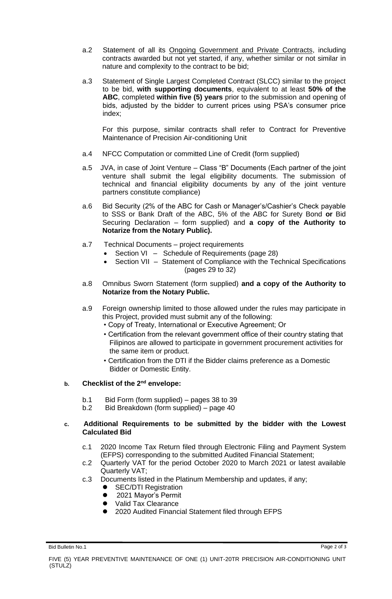- a.2 Statement of all its Ongoing Government and Private Contracts, including contracts awarded but not yet started, if any, whether similar or not similar in nature and complexity to the contract to be bid;
- a.3 Statement of Single Largest Completed Contract (SLCC) similar to the project to be bid, **with supporting documents**, equivalent to at least **50% of the ABC**, completed **within five (5) years** prior to the submission and opening of bids, adjusted by the bidder to current prices using PSA's consumer price index;

For this purpose, similar contracts shall refer to Contract for Preventive Maintenance of Precision Air-conditioning Unit

- a.4 NFCC Computation or committed Line of Credit (form supplied)
- a.5 JVA, in case of Joint Venture Class "B" Documents (Each partner of the joint venture shall submit the legal eligibility documents. The submission of technical and financial eligibility documents by any of the joint venture partners constitute compliance)
- a.6 Bid Security (2% of the ABC for Cash or Manager's/Cashier's Check payable to SSS or Bank Draft of the ABC, 5% of the ABC for Surety Bond **or** Bid Securing Declaration – form supplied) and **a copy of the Authority to Notarize from the Notary Public).**
- a.7 Technical Documents project requirements
	- Section VI Schedule of Requirements (page 28)
	- Section VII Statement of Compliance with the Technical Specifications (pages 29 to 32)
- a.8 Omnibus Sworn Statement (form supplied) **and a copy of the Authority to Notarize from the Notary Public.**
- a.9 Foreign ownership limited to those allowed under the rules may participate in this Project, provided must submit any of the following:
	- Copy of Treaty, International or Executive Agreement; Or
	- Certification from the relevant government office of their country stating that Filipinos are allowed to participate in government procurement activities for the same item or product.
	- Certification from the DTI if the Bidder claims preference as a Domestic Bidder or Domestic Entity.

## **b. Checklist of the 2nd envelope:**

- b.1 Bid Form (form supplied) pages 38 to 39
- b.2 Bid Breakdown (form supplied) page 40

### **c. Additional Requirements to be submitted by the bidder with the Lowest Calculated Bid**

- c.1 2020 Income Tax Return filed through Electronic Filing and Payment System (EFPS) corresponding to the submitted Audited Financial Statement;
- c.2 Quarterly VAT for the period October 2020 to March 2021 or latest available Quarterly VAT;
- c.3 Documents listed in the Platinum Membership and updates, if any;
	- ⚫ SEC/DTI Registration
	- 2021 Mayor's Permit
	- Valid Tax Clearance
	- ⚫ 2020 Audited Financial Statement filed through EFPS

Bid Bulletin No.1 Page 2 of 3